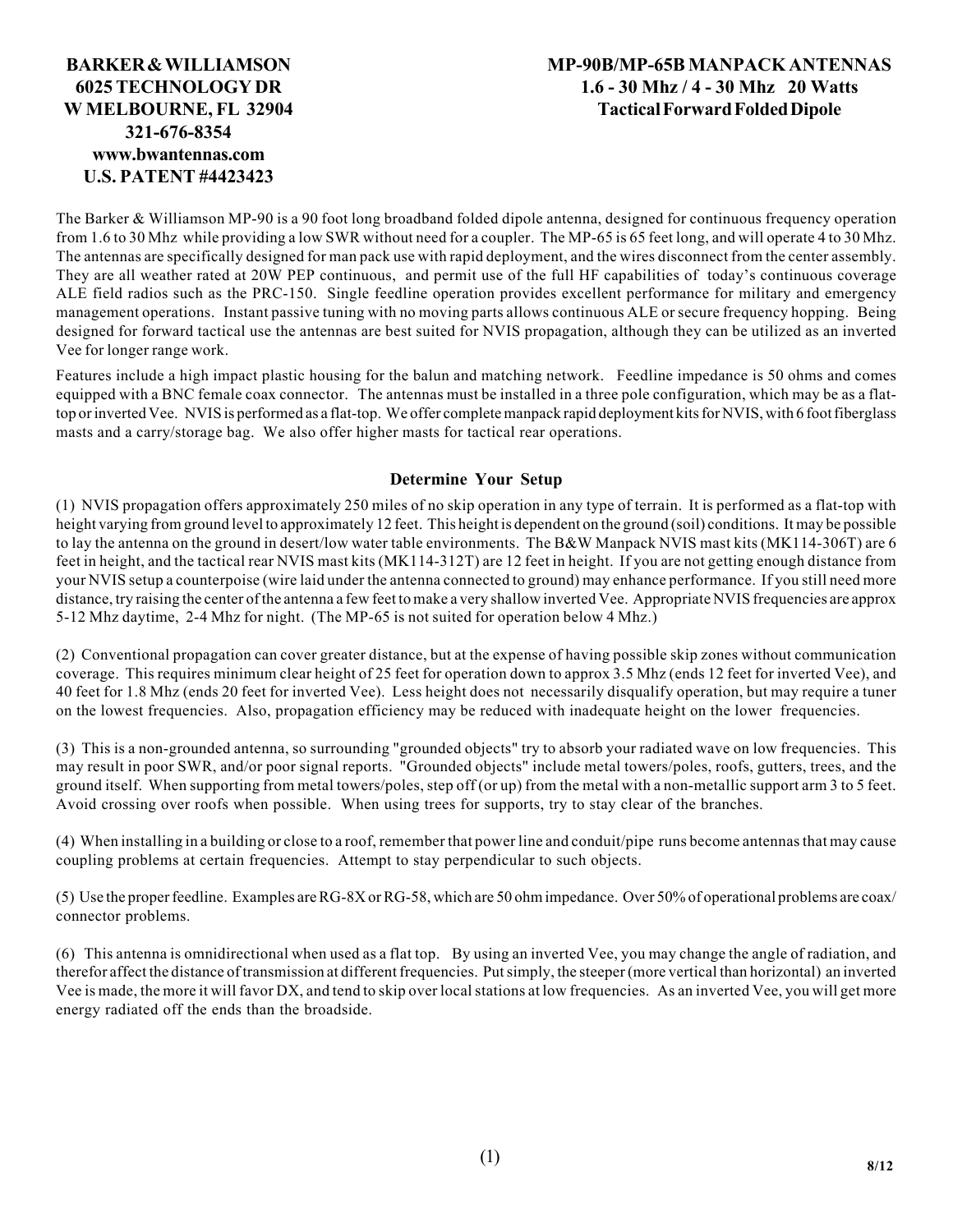## **BARKER & WILLIAMSON 6025 TECHNOLOGY DR W MELBOURNE, FL 32904 321-676-8354 www.bwantennas.com U.S. PATENT #4423423**

## **MP-90B/MP-65B MANPACK ANTENNAS 1.6 - 30 Mhz / 4 - 30 Mhz 20 Watts Tactical Forward Folded Dipole**

The Barker & Williamson MP-90 is a 90 foot long broadband folded dipole antenna, designed for continuous frequency operation from 1.6 to 30 Mhz while providing a low SWR without need for a coupler. The MP-65 is 65 feet long, and will operate 4 to 30 Mhz. The antennas are specifically designed for man pack use with rapid deployment, and the wires disconnect from the center assembly. They are all weather rated at 20W PEP continuous, and permit use of the full HF capabilities of today's continuous coverage ALE field radios such as the PRC-150. Single feedline operation provides excellent performance for military and emergency management operations. Instant passive tuning with no moving parts allows continuous ALE or secure frequency hopping. Being designed for forward tactical use the antennas are best suited for NVIS propagation, although they can be utilized as an inverted Vee for longer range work.

Features include a high impact plastic housing for the balun and matching network. Feedline impedance is 50 ohms and comes equipped with a BNC female coax connector. The antennas must be installed in a three pole configuration, which may be as a flattop or inverted Vee. NVIS is performed as a flat-top. We offer complete manpack rapid deployment kits for NVIS, with 6 foot fiberglass masts and a carry/storage bag. We also offer higher masts for tactical rear operations.

## **Determine Your Setup**

(1) NVIS propagation offers approximately 250 miles of no skip operation in any type of terrain. It is performed as a flat-top with height varying from ground level to approximately 12 feet. This height is dependent on the ground (soil) conditions. It may be possible to lay the antenna on the ground in desert/low water table environments. The B&W Manpack NVIS mast kits (MK114-306T) are 6 feet in height, and the tactical rear NVIS mast kits (MK114-312T) are 12 feet in height. If you are not getting enough distance from your NVIS setup a counterpoise (wire laid under the antenna connected to ground) may enhance performance. If you still need more distance, try raising the center of the antenna a few feet to make a very shallow inverted Vee. Appropriate NVIS frequencies are approx 5-12 Mhz daytime, 2-4 Mhz for night. (The MP-65 is not suited for operation below 4 Mhz.)

(2) Conventional propagation can cover greater distance, but at the expense of having possible skip zones without communication coverage. This requires minimum clear height of 25 feet for operation down to approx 3.5 Mhz (ends 12 feet for inverted Vee), and 40 feet for 1.8 Mhz (ends 20 feet for inverted Vee). Less height does not necessarily disqualify operation, but may require a tuner on the lowest frequencies. Also, propagation efficiency may be reduced with inadequate height on the lower frequencies.

(3) This is a non-grounded antenna, so surrounding "grounded objects" try to absorb your radiated wave on low frequencies. This may result in poor SWR, and/or poor signal reports. "Grounded objects" include metal towers/poles, roofs, gutters, trees, and the ground itself. When supporting from metal towers/poles, step off (or up) from the metal with a non-metallic support arm 3 to 5 feet. Avoid crossing over roofs when possible. When using trees for supports, try to stay clear of the branches.

(4) When installing in a building or close to a roof, remember that power line and conduit/pipe runs become antennas that may cause coupling problems at certain frequencies. Attempt to stay perpendicular to such objects.

(5) Use the proper feedline. Examples are RG-8X or RG-58, which are 50 ohm impedance. Over 50% of operational problems are coax/ connector problems.

(6) This antenna is omnidirectional when used as a flat top. By using an inverted Vee, you may change the angle of radiation, and therefor affect the distance of transmission at different frequencies. Put simply, the steeper (more vertical than horizontal) an inverted Vee is made, the more it will favor DX, and tend to skip over local stations at low frequencies. As an inverted Vee, you will get more energy radiated off the ends than the broadside.